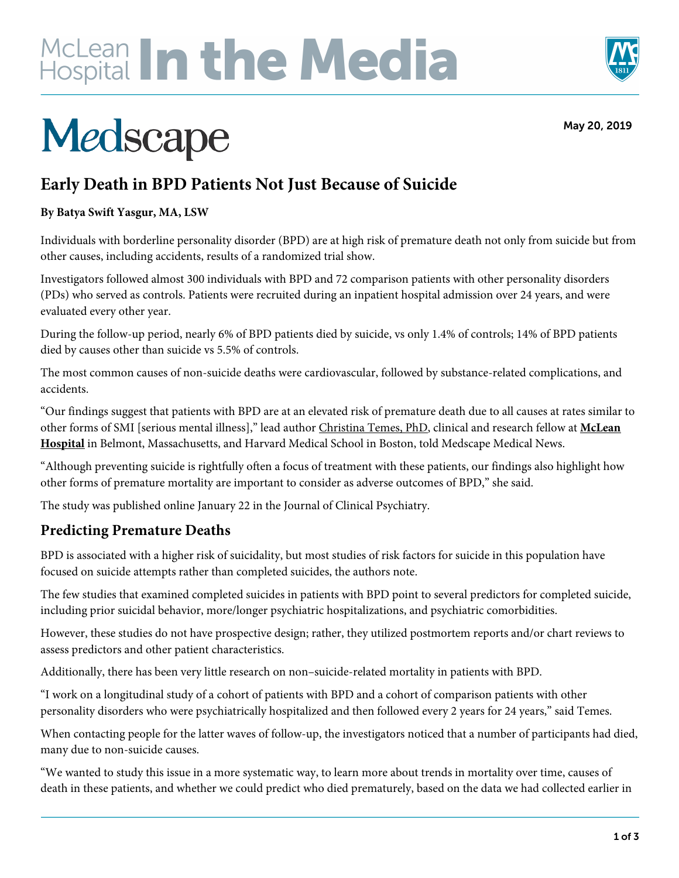# McLean In the Media



May 20, 2019

## Medscape

## **Early Death in BPD Patients Not Just Because of Suicide**

#### **By Batya Swift Yasgur, MA, LSW**

Individuals with borderline personality disorder (BPD) are at high risk of premature death not only from suicide but from other causes, including accidents, results of a randomized trial show.

Investigators followed almost 300 individuals with BPD and 72 comparison patients with other personality disorders (PDs) who served as controls. Patients were recruited during an inpatient hospital admission over 24 years, and were evaluated every other year.

During the follow-up period, nearly 6% of BPD patients died by suicide, vs only 1.4% of controls; 14% of BPD patients died by causes other than suicide vs 5.5% of controls.

The most common causes of non-suicide deaths were cardiovascular, followed by substance-related complications, and accidents.

"Our findings suggest that patients with BPD are at an elevated risk of premature death due to all causes at rates similar to other forms of SMI [serious mental illness]," lead author Christina Temes, PhD, clinical and research fellow at **McLean Hospital** in Belmont, Massachusetts, and Harvard Medical School in Boston, told Medscape Medical News.

"Although preventing suicide is rightfully often a focus of treatment with these patients, our findings also highlight how other forms of premature mortality are important to consider as adverse outcomes of BPD," she said.

The study was published online January 22 in the Journal of Clinical Psychiatry.

## **Predicting Premature Deaths**

BPD is associated with a higher risk of suicidality, but most studies of risk factors for suicide in this population have focused on suicide attempts rather than completed suicides, the authors note.

The few studies that examined completed suicides in patients with BPD point to several predictors for completed suicide, including prior suicidal behavior, more/longer psychiatric hospitalizations, and psychiatric comorbidities.

However, these studies do not have prospective design; rather, they utilized postmortem reports and/or chart reviews to assess predictors and other patient characteristics.

Additionally, there has been very little research on non–suicide-related mortality in patients with BPD.

"I work on a longitudinal study of a cohort of patients with BPD and a cohort of comparison patients with other personality disorders who were psychiatrically hospitalized and then followed every 2 years for 24 years," said Temes.

When contacting people for the latter waves of follow-up, the investigators noticed that a number of participants had died, many due to non-suicide causes.

"We wanted to study this issue in a more systematic way, to learn more about trends in mortality over time, causes of death in these patients, and whether we could predict who died prematurely, based on the data we had collected earlier in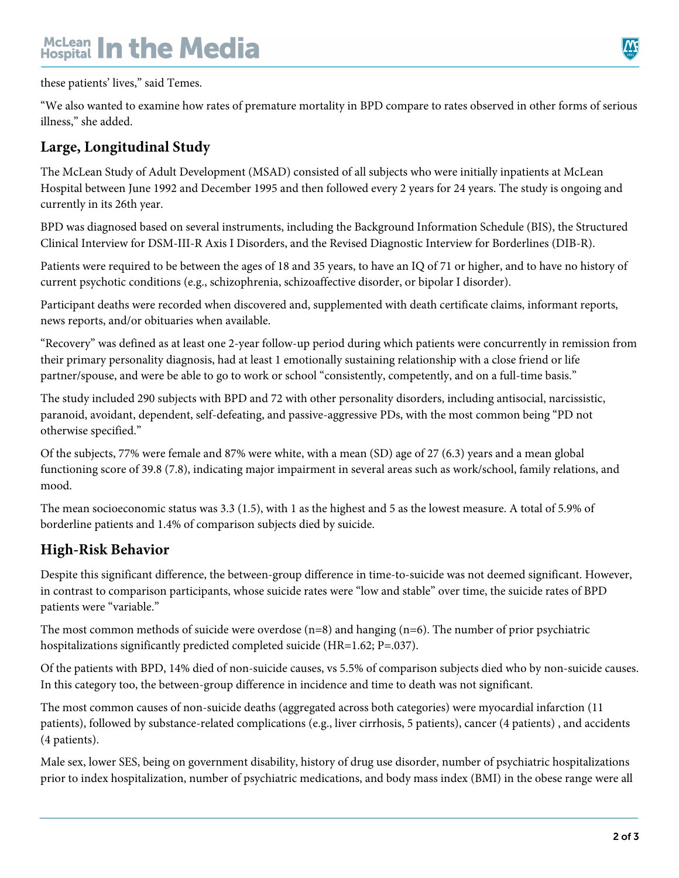## McLean **In the Media**

these patients' lives," said Temes.

"We also wanted to examine how rates of premature mortality in BPD compare to rates observed in other forms of serious illness," she added.

### **Large, Longitudinal Study**

The McLean Study of Adult Development (MSAD) consisted of all subjects who were initially inpatients at McLean Hospital between June 1992 and December 1995 and then followed every 2 years for 24 years. The study is ongoing and currently in its 26th year.

BPD was diagnosed based on several instruments, including the Background Information Schedule (BIS), the Structured Clinical Interview for DSM-III-R Axis I Disorders, and the Revised Diagnostic Interview for Borderlines (DIB-R).

Patients were required to be between the ages of 18 and 35 years, to have an IQ of 71 or higher, and to have no history of current psychotic conditions (e.g., schizophrenia, schizoaffective disorder, or bipolar I disorder).

Participant deaths were recorded when discovered and, supplemented with death certificate claims, informant reports, news reports, and/or obituaries when available.

"Recovery" was defined as at least one 2-year follow-up period during which patients were concurrently in remission from their primary personality diagnosis, had at least 1 emotionally sustaining relationship with a close friend or life partner/spouse, and were be able to go to work or school "consistently, competently, and on a full-time basis."

The study included 290 subjects with BPD and 72 with other personality disorders, including antisocial, narcissistic, paranoid, avoidant, dependent, self-defeating, and passive-aggressive PDs, with the most common being "PD not otherwise specified."

Of the subjects, 77% were female and 87% were white, with a mean (SD) age of 27 (6.3) years and a mean global functioning score of 39.8 (7.8), indicating major impairment in several areas such as work/school, family relations, and mood.

The mean socioeconomic status was 3.3 (1.5), with 1 as the highest and 5 as the lowest measure. A total of 5.9% of borderline patients and 1.4% of comparison subjects died by suicide.

#### **High-Risk Behavior**

Despite this significant difference, the between-group difference in time-to-suicide was not deemed significant. However, in contrast to comparison participants, whose suicide rates were "low and stable" over time, the suicide rates of BPD patients were "variable."

The most common methods of suicide were overdose  $(n=8)$  and hanging  $(n=6)$ . The number of prior psychiatric hospitalizations significantly predicted completed suicide (HR=1.62; P=.037).

Of the patients with BPD, 14% died of non-suicide causes, vs 5.5% of comparison subjects died who by non-suicide causes. In this category too, the between-group difference in incidence and time to death was not significant.

The most common causes of non-suicide deaths (aggregated across both categories) were myocardial infarction (11 patients), followed by substance-related complications (e.g., liver cirrhosis, 5 patients), cancer (4 patients) , and accidents (4 patients).

Male sex, lower SES, being on government disability, history of drug use disorder, number of psychiatric hospitalizations prior to index hospitalization, number of psychiatric medications, and body mass index (BMI) in the obese range were all